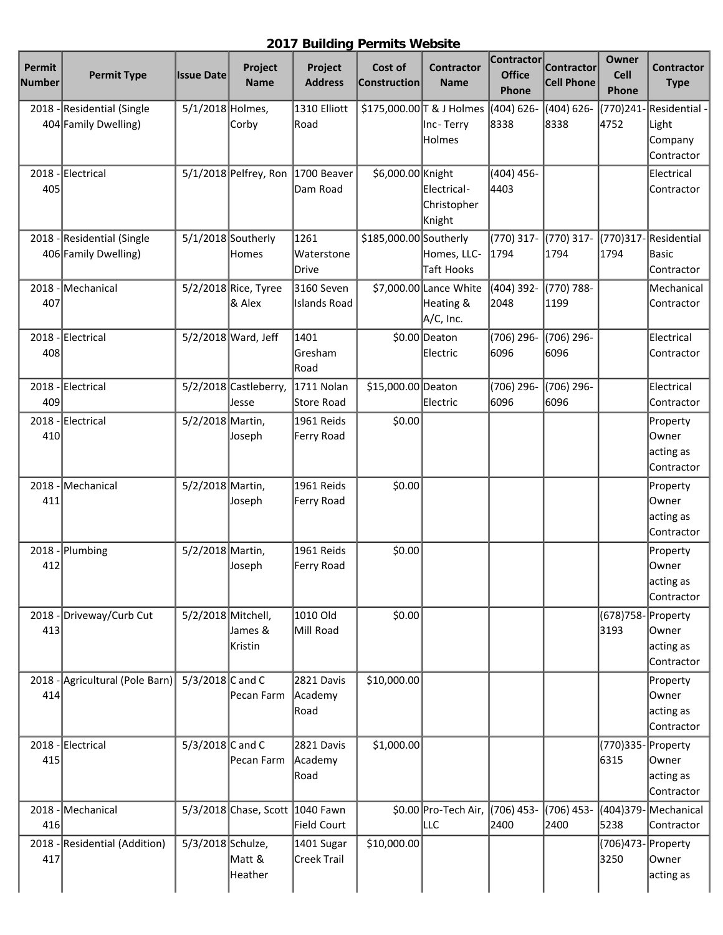## **2017 Building Permits Website**

| Permit<br>Number | <b>Permit Type</b>                          | <b>Issue Date</b>    | Project<br><b>Name</b>          | Project<br><b>Address</b>         | Cost of<br><b>Construction</b> | <b>Contractor</b><br><b>Name</b>                 | Contractor<br><b>Office</b><br>Phone | <b>Contractor</b><br><b>Cell Phone</b> | <b>Owner</b><br>Cell<br>Phone | <b>Contractor</b><br><b>Type</b>                |
|------------------|---------------------------------------------|----------------------|---------------------------------|-----------------------------------|--------------------------------|--------------------------------------------------|--------------------------------------|----------------------------------------|-------------------------------|-------------------------------------------------|
| 2018             | Residential (Single<br>404 Family Dwelling) | 5/1/2018 Holmes,     | Corby                           | 1310 Elliott<br>Road              |                                | \$175,000.00 T & J Holmes<br>Inc-Terry<br>Holmes | (404) 626-<br>8338                   | (404) 626-<br>8338                     | (770)241-<br>4752             | Residential -<br>Light<br>Company<br>Contractor |
| 2018<br>405      | Electrical                                  |                      | $5/1/2018$ Pelfrey, Ron         | 1700 Beaver<br>Dam Road           | \$6,000.00 Knight              | Electrical-<br>Christopher<br>Knight             | $(404)$ 456-<br>4403                 |                                        |                               | Electrical<br>Contractor                        |
| 2018             | Residential (Single<br>406 Family Dwelling) | $5/1/2018$ Southerly | Homes                           | 1261<br>Waterstone<br>Drive       | \$185,000.00 Southerly         | Homes, LLC-<br><b>Taft Hooks</b>                 | $(770)$ 317-<br>1794                 | (770) 317-<br>1794                     | (770)317-<br>1794             | Residential<br><b>Basic</b><br>Contractor       |
| 2018<br>407      | Mechanical                                  |                      | 5/2/2018 Rice, Tyree<br>& Alex  | 3160 Seven<br><b>Islands Road</b> |                                | \$7,000.00 Lance White<br>Heating &<br>A/C, Inc. | (404) 392-<br>2048                   | (770) 788-<br>1199                     |                               | Mechanical<br>Contractor                        |
| 2018<br>408      | Electrical                                  |                      | 5/2/2018 Ward, Jeff             | 1401<br>Gresham<br>Road           |                                | \$0.00 Deaton<br>Electric                        | (706) 296-<br>6096                   | (706) 296-<br>6096                     |                               | Electrical<br>Contractor                        |
| 2018<br>409      | Electrical                                  |                      | 5/2/2018 Castleberry,<br>Jesse  | 1711 Nolan<br>Store Road          | \$15,000.00 Deaton             | Electric                                         | (706) 296-<br>6096                   | (706) 296-<br>6096                     |                               | Electrical<br>Contractor                        |
| 2018<br>410      | Electrical                                  | 5/2/2018 Martin,     | Joseph                          | 1961 Reids<br>Ferry Road          | \$0.00                         |                                                  |                                      |                                        |                               | Property<br>Owner<br>acting as<br>Contractor    |
| 2018<br>411      | Mechanical                                  | 5/2/2018 Martin,     | Joseph                          | 1961 Reids<br>Ferry Road          | \$0.00                         |                                                  |                                      |                                        |                               | Property<br>Owner<br>acting as<br>Contractor    |
| 2018<br>412      | Plumbing                                    | 5/2/2018 Martin,     | Joseph                          | 1961 Reids<br>Ferry Road          | \$0.00                         |                                                  |                                      |                                        |                               | Property<br>Owner<br>acting as<br>Contractor    |
| 2018<br>413      | Driveway/Curb Cut                           | 5/2/2018 Mitchell,   | James &<br>Kristin              | 1010 Old<br>Mill Road             | \$0.00                         |                                                  |                                      |                                        | (678) 758- Property<br>3193   | Owner<br>acting as<br>Contractor                |
| $2018 -$<br>414  | Agricultural (Pole Barn)                    | 5/3/2018 C and C     | Pecan Farm                      | 2821 Davis<br>Academy<br>Road     | \$10,000.00                    |                                                  |                                      |                                        |                               | Property<br>Owner <br>acting as<br>Contractor   |
| 2018<br>415      | Electrical                                  | 5/3/2018 C and C     | Pecan Farm                      | 2821 Davis<br>Academy<br>Road     | \$1,000.00                     |                                                  |                                      |                                        | (770)335- Property<br>6315    | Owner<br>acting as<br>Contractor                |
| 2018<br>416      | Mechanical                                  |                      | 5/3/2018 Chase, Scott 1040 Fawn | Field Court                       |                                | \$0.00 Pro-Tech Air,<br> LLC                     | (706) 453-<br>2400                   | (706) 453-<br>2400                     | (404)379-<br>5238             | Mechanical<br>Contractor                        |
| 2018<br>417      | Residential (Addition)                      | 5/3/2018 Schulze,    | Matt &<br>Heather               | 1401 Sugar<br><b>Creek Trail</b>  | \$10,000.00                    |                                                  |                                      |                                        | (706)473- Property<br>3250    | Owner<br>acting as                              |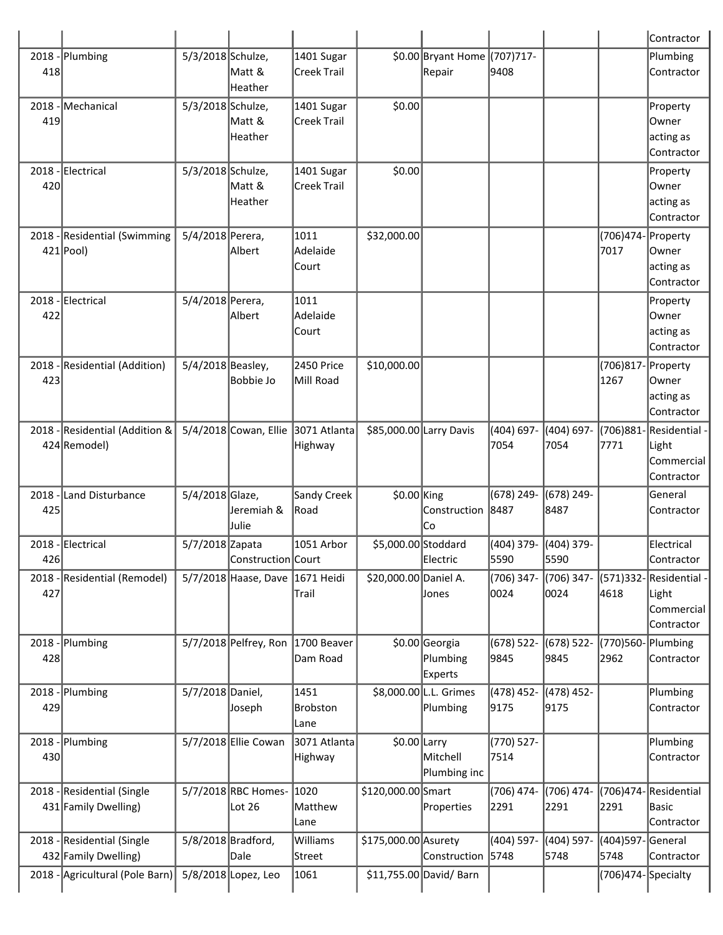|                 |                                                    |                    |                               |                            |                         |                                        |                               |                      |                            | Contractor                                         |
|-----------------|----------------------------------------------------|--------------------|-------------------------------|----------------------------|-------------------------|----------------------------------------|-------------------------------|----------------------|----------------------------|----------------------------------------------------|
| 418             | 2018 - Plumbing                                    | 5/3/2018 Schulze,  | Matt &<br>Heather             | 1401 Sugar<br>Creek Trail  |                         | \$0.00 Bryant Home (707)717-<br>Repair | 9408                          |                      |                            | Plumbing<br>Contractor                             |
| $2018 -$<br>419 | Mechanical                                         | 5/3/2018 Schulze,  | Matt &<br>Heather             | 1401 Sugar<br>Creek Trail  | \$0.00                  |                                        |                               |                      |                            | Property<br>Owner<br>acting as<br>Contractor       |
| 420             | 2018 - Electrical                                  | 5/3/2018 Schulze,  | Matt &<br>Heather             | 1401 Sugar<br>Creek Trail  | \$0.00                  |                                        |                               |                      |                            | Property<br>Owner<br>acting as<br>Contractor       |
|                 | 2018 - Residential (Swimming<br>$421$ Pool)        | 5/4/2018 Perera,   | Albert                        | 1011<br>Adelaide<br>lCourt | \$32,000.00             |                                        |                               |                      | (706)474- Property<br>7017 | Owner<br>acting as<br>Contractor                   |
| 422             | 2018 - Electrical                                  | 5/4/2018 Perera,   | Albert                        | 1011<br>Adelaide<br> Court |                         |                                        |                               |                      |                            | Property<br>Owner<br>acting as<br>Contractor       |
| 423             | 2018 - Residential (Addition)                      | 5/4/2018 Beasley,  | <b>Bobbie Jo</b>              | 2450 Price<br>Mill Road    | \$10,000.00             |                                        |                               |                      | (706)817- Property<br>1267 | Owner<br>acting as<br>Contractor                   |
|                 | 2018 - Residential (Addition &<br>424 Remodel)     |                    | 5/4/2018 Cowan, Ellie         | 3071 Atlanta<br>Highway    | \$85,000.00 Larry Davis |                                        | (404) 697-<br>7054            | (404) 697-<br>7054   | (706)881-<br>7771          | Residential -<br>Light<br>Commercial<br>Contractor |
| $2018 -$<br>425 | Land Disturbance                                   | 5/4/2018 Glaze,    | Jeremiah &<br>Julie           | Sandy Creek<br>Road        | $$0.00$ King            | Construction<br> Co                    | (678) 249-<br>8487            | $(678)$ 249-<br>8487 |                            | General<br>Contractor                              |
| 426             | 2018 - Electrical                                  | 5/7/2018 Zapata    | Construction Court            | 1051 Arbor                 | \$5,000.00 Stoddard     | Electric                               | (404) 379- (404) 379-<br>5590 | 5590                 |                            | <b>Electrical</b><br>Contractor                    |
| 427             | 2018 - Residential (Remodel)                       |                    | $5/7/2018$ Haase, Dave        | 1671 Heidi<br>Trail        | \$20,000.00 Daniel A.   | Jones                                  | (706) 347-<br>0024            | (706) 347-<br>0024   | (571)332-<br>4618          | Residential -<br>Light<br>Commercial<br>Contractor |
| 428             | 2018 - Plumbing                                    |                    | 5/7/2018 Pelfrey, Ron         | 1700 Beaver<br>Dam Road    |                         | \$0.00 Georgia<br>Plumbing<br>Experts  | $(678) 522 -$<br>9845         | $(678)$ 522-<br>9845 | (770)560-<br>2962          | Plumbing<br>Contractor                             |
| 429             | 2018 - Plumbing                                    | 5/7/2018 Daniel,   | Joseph                        | 1451<br>Brobston<br>Lane   |                         | \$8,000.00 L.L. Grimes<br>Plumbing     | (478) 452-<br>9175            | (478) 452-<br>9175   |                            | Plumbing<br>Contractor                             |
| 430             | 2018 - Plumbing                                    |                    | 5/7/2018 Ellie Cowan          | 3071 Atlanta<br>Highway    | $$0.00$ Larry           | Mitchell<br>Plumbing inc               | $(770) 527 -$<br>7514         |                      |                            | Plumbing<br>Contractor                             |
|                 | 2018 - Residential (Single<br>431 Family Dwelling) |                    | 5/7/2018 RBC Homes-<br>Lot 26 | 1020<br>Matthew<br>Lane    | \$120,000.00 Smart      | Properties                             | (706) 474-<br>2291            | (706) 474-<br>2291   | (706)474-<br>2291          | Residential<br>Basic<br>Contractor                 |
|                 | 2018 - Residential (Single<br>432 Family Dwelling) | 5/8/2018 Bradford, | Dale                          | Williams<br>Street         | \$175,000.00 Asurety    | Construction                           | (404) 597-<br>5748            | (404) 597-<br>5748   | (404)597-<br>5748          | General<br>Contractor                              |
|                 | 2018 - Agricultural (Pole Barn)                    |                    | 5/8/2018 Lopez, Leo           | 1061                       |                         | \$11,755.00 David/ Barn                |                               |                      | (706)474-Specialty         |                                                    |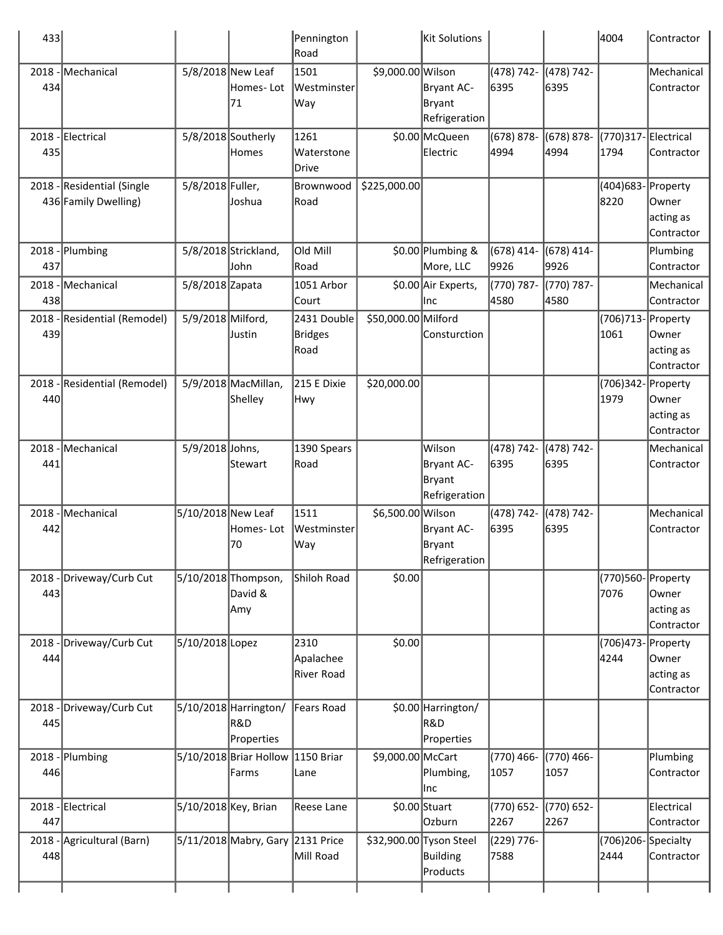| 433             |                                                    |                      |                                            | Pennington<br>Road                    |                         | Kit Solutions                                          |                       |                       | 4004                        | Contractor                       |
|-----------------|----------------------------------------------------|----------------------|--------------------------------------------|---------------------------------------|-------------------------|--------------------------------------------------------|-----------------------|-----------------------|-----------------------------|----------------------------------|
| 434             | 2018 - Mechanical                                  | 5/8/2018 New Leaf    | Homes- Lot<br>71                           | 1501<br>Westminster<br>Way            | \$9,000.00 Wilson       | Bryant AC-<br>Bryant<br>Refrigeration                  | (478) 742-<br>6395    | (478) 742-<br>6395    |                             | Mechanical<br>Contractor         |
| 435             | 2018 - Electrical                                  |                      | 5/8/2018 Southerly<br>Homes                | 1261<br>Waterstone<br>Drive           |                         | \$0.00 McQueen<br>Electric                             | $(678) 878 -$<br>4994 | $(678) 878 -$<br>4994 | (770)317-Electrical<br>1794 | Contractor                       |
|                 | 2018 - Residential (Single<br>436 Family Dwelling) | 5/8/2018 Fuller,     | Joshua                                     | Brownwood<br>Road                     | \$225,000.00            |                                                        |                       |                       | (404)683- Property<br>8220  | Owner<br>acting as<br>Contractor |
| 437             | 2018 - Plumbing                                    |                      | 5/8/2018 Strickland,<br>John               | Old Mill<br>Road                      |                         | \$0.00 Plumbing &<br>More, LLC                         | $(678)$ 414-<br>9926  | $(678)$ 414-<br>9926  |                             | Plumbing<br>Contractor           |
| 438             | 2018 - Mechanical                                  | 5/8/2018 Zapata      |                                            | 1051 Arbor<br>Court                   |                         | \$0.00 Air Experts,<br>Inc                             | (770) 787-<br>4580    | (770) 787-<br>4580    |                             | Mechanical<br>Contractor         |
| 439             | 2018 - Residential (Remodel)                       | 5/9/2018 Milford,    | Justin                                     | 2431 Double<br><b>Bridges</b><br>Road | \$50,000.00 Milford     | Consturction                                           |                       |                       | (706)713- Property<br>1061  | Owner<br>acting as<br>Contractor |
| 440             | 2018 - Residential (Remodel)                       |                      | 5/9/2018 MacMillan,<br>Shelley             | 215 E Dixie<br>Hwy                    | \$20,000.00             |                                                        |                       |                       | (706)342- Property<br>1979  | Owner<br>acting as<br>Contractor |
| $2018 -$<br>441 | Mechanical                                         | 5/9/2018 Johns,      | Stewart                                    | 1390 Spears<br>Road                   |                         | Wilson<br>Bryant AC-<br><b>Bryant</b><br>Refrigeration | (478) 742-<br>6395    | (478) 742-<br>6395    |                             | Mechanical<br>Contractor         |
| $2018 -$<br>442 | Mechanical                                         | 5/10/2018 New Leaf   | Homes-Lot<br>70                            | 1511<br>Westminster<br>Way            | \$6,500.00 Wilson       | <b>Bryant AC-</b><br><b>Bryant</b><br>Refrigeration    | (478) 742-<br>6395    | (478) 742-<br>6395    |                             | Mechanical<br>Contractor         |
| 443             | 2018 - Driveway/Curb Cut                           |                      | 5/10/2018 Thompson,<br>David &<br>Amy      | Shiloh Road                           | \$0.00                  |                                                        |                       |                       | (770)560-Property<br>7076   | Owner<br>acting as<br>Contractor |
| 444             | 2018 - Driveway/Curb Cut                           | 5/10/2018 Lopez      |                                            | 2310<br>Apalachee<br>River Road       | \$0.00                  |                                                        |                       |                       | (706)473- Property<br>4244  | Owner<br>acting as<br>Contractor |
| 445             | 2018 - Driveway/Curb Cut                           |                      | 5/10/2018 Harrington/<br>R&D<br>Properties | Fears Road                            |                         | \$0.00 Harrington/<br>R&D<br>Properties                |                       |                       |                             |                                  |
| 446             | 2018 - Plumbing                                    |                      | 5/10/2018 Briar Hollow<br>Farms            | 1150 Briar<br>Lane                    | \$9,000.00 McCart       | Plumbing,<br>Inc                                       | (770) 466-<br>1057    | (770) 466-<br>1057    |                             | Plumbing<br>Contractor           |
| 447             | 2018 - Electrical                                  | 5/10/2018 Key, Brian |                                            | Reese Lane                            |                         | $$0.00$ Stuart<br>Ozburn                               | (770) 652-<br>2267    | (770) 652-<br>2267    |                             | Electrical<br>Contractor         |
| 448             | 2018 - Agricultural (Barn)                         |                      | 5/11/2018 Mabry, Gary 2131 Price           | Mill Road                             | \$32,900.00 Tyson Steel | <b>Building</b><br>Products                            | (229) 776-<br>7588    |                       | (706)206-Specialty<br>2444  | Contractor                       |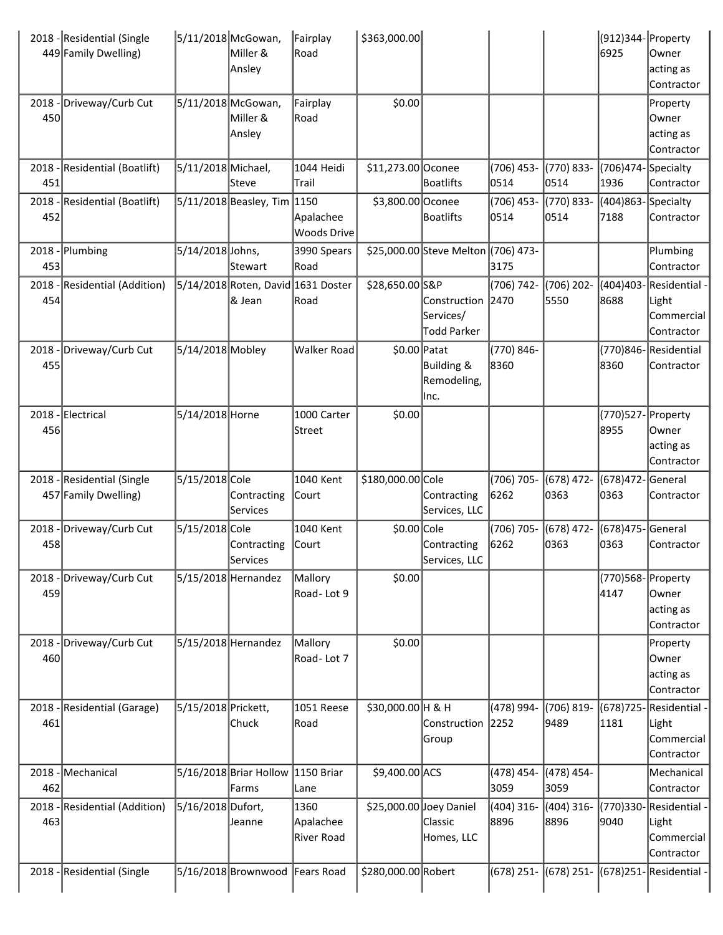|                 | 2018 - Residential (Single<br>449 Family Dwelling) | 5/11/2018 McGowan,  | Miller &<br>Ansley                           | Fairplay<br>Road                        | \$363,000.00            |                                                 |                      |                      | (912)344- Property<br>6925 | Owner<br>acting as<br>Contractor                                        |
|-----------------|----------------------------------------------------|---------------------|----------------------------------------------|-----------------------------------------|-------------------------|-------------------------------------------------|----------------------|----------------------|----------------------------|-------------------------------------------------------------------------|
| 450             | 2018 - Driveway/Curb Cut                           |                     | 5/11/2018 McGowan,<br>Miller &<br>Ansley     | Fairplay<br>Road                        | \$0.00                  |                                                 |                      |                      |                            | Property<br>Owner<br>acting as<br>Contractor                            |
|                 | 2018 - Residential (Boatlift)                      | 5/11/2018 Michael,  |                                              | 1044 Heidi                              | \$11,273.00 Oconee      |                                                 | $(706)$ 453-         | (770) 833-           | (706)474-Specialty)        |                                                                         |
| 451             |                                                    |                     | lSteve                                       | Trail                                   |                         | Boatlifts                                       | 0514                 | 0514                 | 1936                       | Contractor                                                              |
| 452             | 2018 - Residential (Boatlift)                      |                     | 5/11/2018 Beasley, Tim 1150                  | Apalachee<br>Woods Drive                | \$3,800.00 Oconee       | <b>Boatlifts</b>                                | (706) 453-<br>0514   | (770) 833-<br>0514   | (404)863-Specialty<br>7188 | Contractor                                                              |
| 453             | 2018 - Plumbing                                    | 5/14/2018 Johns,    | Stewart                                      | 3990 Spears<br>Road                     |                         | \$25,000.00 Steve Melton (706) 473-             | 3175                 |                      |                            | Plumbing<br>Contractor                                                  |
| 454             | 2018 - Residential (Addition)                      |                     | 5/14/2018 Roten, David 1631 Doster<br>& Jean | Road                                    | \$28,650.00 S&P         | Construction<br>Services/<br><b>Todd Parker</b> | (706) 742-<br>2470   | (706) 202-<br>5550   | 8688                       | (404)403- Residential ·<br>Light<br>Commercial<br>Contractor            |
| $2018 -$<br>455 | Driveway/Curb Cut                                  | 5/14/2018 Mobley    |                                              | Walker Road                             | $$0.00$ Patat           | Building &<br>Remodeling,<br>lInc.              | (770) 846-<br>8360   |                      | 8360                       | (770)846-Residential<br><b>Contractor</b>                               |
| 456             | 2018 - Electrical                                  | 5/14/2018 Horne     |                                              | 1000 Carter<br>Street                   | \$0.00                  |                                                 |                      |                      | (770)527- Property<br>8955 | Owner<br>acting as<br>Contractor                                        |
|                 | 2018 - Residential (Single<br>457 Family Dwelling) | 5/15/2018 Cole      | Contracting<br>Services                      | 1040 Kent<br>Court                      | \$180,000.00 Cole       | Contracting<br>Services, LLC                    | (706) 705-<br>6262   | (678) 472-<br>0363   | (678)472-<br>0363          | General<br>Contractor                                                   |
| 458             | 2018 - Driveway/Curb Cut                           | 5/15/2018 Cole      | Contracting<br>Services                      | 1040 Kent<br> Court                     | \$0.00 Cole             | Contracting<br>Services, LLC                    | (706) 705-<br>6262   | $(678)$ 472-<br>0363 | (678)475-General<br>0363   | Contractor                                                              |
| 459             | 2018 - Driveway/Curb Cut                           |                     | 5/15/2018 Hernandez                          | Mallory<br>Road-Lot 9                   | \$0.00                  |                                                 |                      |                      | (770)568-Property<br>4147  | Owner<br>acting as<br>Contractor                                        |
| 460             | 2018 - Driveway/Curb Cut                           |                     | 5/15/2018 Hernandez                          | Mallory<br>Road-Lot 7                   | \$0.00                  |                                                 |                      |                      |                            | Property<br>Owner<br>acting as<br>Contractor                            |
| 461             | 2018 - Residential (Garage)                        | 5/15/2018 Prickett, | Chuck                                        | 1051 Reese<br>Road                      | \$30,000.00 H & H       | Construction<br>Group                           | (478) 994-<br>2252   | (706) 819-<br>9489   | 1181                       | (678) 725 - Residential<br>Light<br>Commercial<br>Contractor            |
| 462             | 2018 - Mechanical                                  |                     | 5/16/2018 Briar Hollow 1150 Briar            |                                         | \$9,400.00 ACS          |                                                 | (478) 454-<br>3059   | (478) 454-<br>3059   |                            | Mechanical                                                              |
| 463             | 2018 - Residential (Addition)                      | 5/16/2018 Dufort,   | Farms<br>Jeanne                              | Lane<br>1360<br>Apalachee<br>River Road | \$25,000.00 Joey Daniel | Classic<br>Homes, LLC                           | $(404)$ 316-<br>8896 | (404) 316-<br>8896   | 9040                       | Contractor<br>(770)330-Residential<br>Light<br>Commercial<br>Contractor |
|                 |                                                    |                     |                                              |                                         |                         |                                                 |                      |                      |                            |                                                                         |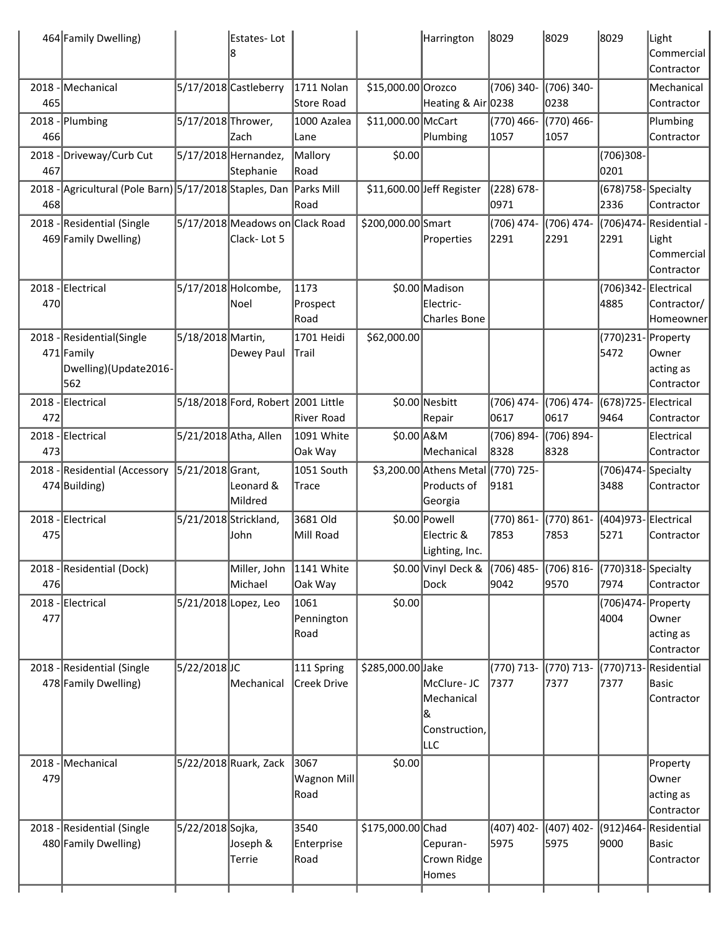|     | 464 Family Dwelling)                                                     |                       | Estates-Lot                                    |                             |                    | Harrington                                             | 8029                  | 8029                 | 8029                           | Light<br>lCommercial<br>Contractor                        |
|-----|--------------------------------------------------------------------------|-----------------------|------------------------------------------------|-----------------------------|--------------------|--------------------------------------------------------|-----------------------|----------------------|--------------------------------|-----------------------------------------------------------|
| 465 | 2018 - Mechanical                                                        |                       | 5/17/2018 Castleberry                          | 1711 Nolan<br>Store Road    | \$15,000.00 Orozco | Heating & Air 0238                                     | (706) 340-            | (706) 340-<br>0238   |                                | Mechanical<br>Contractor                                  |
| 466 | $2018$ - Plumbing                                                        | 5/17/2018 Thrower,    | Zach                                           | 1000 Azalea<br>Lane         | \$11,000.00 McCart | Plumbing                                               | (770) 466-<br>1057    | (770) 466-<br>1057   |                                | Plumbing<br>Contractor                                    |
| 467 | 2018 - Driveway/Curb Cut                                                 |                       | 5/17/2018 Hernandez,<br>Stephanie              | Mallory<br>Road             | \$0.00             |                                                        |                       |                      | (706)308-<br>0201              |                                                           |
| 468 | 2018 - Agricultural (Pole Barn) 5/17/2018 Staples, Dan Parks Mill        |                       |                                                | Road                        |                    | \$11,600.00 Jeff Register                              | $(228) 678 -$<br>0971 |                      | (678) 758 - Specialty<br>2336  | Contractor                                                |
|     | 2018 - Residential (Single<br>469 Family Dwelling)                       |                       | 5/17/2018 Meadows on Clack Road<br>Clack-Lot 5 |                             | \$200,000.00 Smart | Properties                                             | (706) 474-<br>2291    | (706) 474<br>2291    | 2291                           | (706)474-Residential<br>Light<br>Commercial<br>Contractor |
| 470 | 2018 - Electrical                                                        | 5/17/2018 Holcombe,   | lNoel                                          | 1173<br>Prospect<br>Road    |                    | \$0.00 Madison<br>Electric-<br><b>Charles Bone</b>     |                       |                      | (706)342-Electrical<br>4885    | Contractor/<br>Homeowner                                  |
|     | 2018 - Residential (Single<br>471 Family<br>Dwelling)(Update2016-<br>562 | 5/18/2018 Martin,     | Dewey Paul                                     | 1701 Heidi<br>Trail         | \$62,000.00        |                                                        |                       |                      | (770)231-Property<br>5472      | lOwner<br>acting as<br>Contractor                         |
| 472 | 2018 - Electrical                                                        |                       | 5/18/2018 Ford, Robert 2001 Little             | River Road                  |                    | \$0.00 Nesbitt<br>Repair                               | (706) 474-<br>0617    | (706) 474-<br>0617   | (678) 725 - Electrical<br>9464 | Contractor                                                |
| 473 | 2018 - Electrical                                                        |                       | 5/21/2018 Atha, Allen                          | 1091 White<br>Oak Way       | $$0.00$ A&M        | Mechanical                                             | (706) 894-<br>8328    | (706) 894-<br>8328   |                                | Electrical<br>Contractor                                  |
|     | 2018 - Residential (Accessory<br>474 Building)                           | 5/21/2018 Grant,      | Leonard &<br>Mildred                           | 1051 South<br>Trace         |                    | \$3,200.00 Athens Metal<br>Products of<br>Georgia      | (770) 725-<br>9181    |                      | (706)474-<br>3488              | Specialty<br>Contractor                                   |
| 475 | 2018 - Electrical                                                        | 5/21/2018 Strickland, | John                                           | 3681 Old<br>Mill Road       |                    | \$0.00 Powell<br>Electric &<br>Lighting, Inc.          | (770) 861-<br>7853    | (770) 861-<br>7853   | (404)973-Electrical<br>5271    | Contractor                                                |
| 476 | 2018 - Residential (Dock)                                                |                       | Miller, John<br>Michael                        | 1141 White<br>Oak Way       |                    | \$0.00 Vinyl Deck &<br><b>Dock</b>                     | (706) 485-<br>9042    | (706) 816-<br>9570   | (770)318-Specialty<br>7974     | Contractor                                                |
| 477 | 2018 - Electrical                                                        |                       | 5/21/2018 Lopez, Leo                           | 1061<br>Pennington<br>Road  | \$0.00             |                                                        |                       |                      | (706)474- Property<br>4004     | Owner<br>acting as<br>Contractor                          |
|     | 2018 - Residential (Single<br>478 Family Dwelling)                       | 5/22/2018JC           | Mechanical                                     | 111 Spring<br>Creek Drive   | \$285,000.00 Jake  | McClure-JC<br>Mechanical<br>&<br>Construction,<br>LLC. | (770) 713-<br>7377    | (770) 713-<br>7377   | (770)713-Residential<br>7377   | Basic<br>Contractor                                       |
| 479 | 2018 - Mechanical                                                        |                       | 5/22/2018 Ruark, Zack                          | 3067<br>Wagnon Mill<br>Road | \$0.00             |                                                        |                       |                      |                                | Property<br>Owner<br>acting as<br>Contractor              |
|     | 2018 - Residential (Single<br>480 Family Dwelling)                       | 5/22/2018 Sojka,      | Joseph &<br>Terrie                             | 3540<br>Enterprise<br>Road  | \$175,000.00 Chad  | Cepuran-<br>Crown Ridge<br>Homes                       | $(407)$ 402-<br>5975  | $(407)$ 402-<br>5975 | (912)464-Residential<br>9000   | Basic<br>Contractor                                       |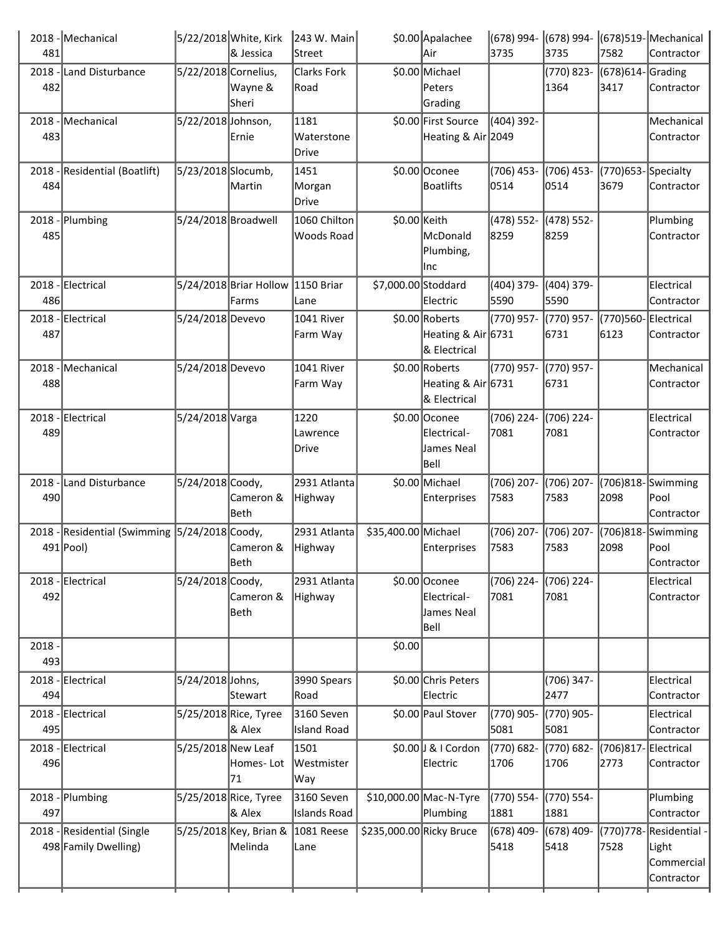|          | 2018 - Mechanical                             |                      | 5/22/2018 White, Kirk  | 243 W. Main         |                          | \$0.00 Apalachee                     | (678) 994-         | $(678)$ 994-       |                       | $(678)519$ -Mechanical  |
|----------|-----------------------------------------------|----------------------|------------------------|---------------------|--------------------------|--------------------------------------|--------------------|--------------------|-----------------------|-------------------------|
| 481      |                                               |                      | & Jessica              | Street              |                          | Air                                  | 3735               | 3735               | 7582                  | Contractor              |
|          | 2018 - Land Disturbance                       | 5/22/2018 Cornelius, |                        | <b>Clarks Fork</b>  |                          | \$0.00 Michael                       |                    | (770) 823-         | (678)614-Grading      |                         |
| 482      |                                               |                      | Wayne &                | Road                |                          | Peters                               |                    | 1364               | 3417                  | Contractor              |
|          |                                               |                      | Sheri                  |                     |                          | Grading                              |                    |                    |                       |                         |
| $2018 -$ | Mechanical                                    | 5/22/2018 Johnson,   |                        | 1181                |                          | \$0.00 First Source                  | (404) 392-         |                    |                       | Mechanical              |
| 483      |                                               |                      | Ernie                  | Waterstone          |                          | Heating & Air 2049                   |                    |                    |                       | Contractor              |
|          |                                               |                      |                        | Drive               |                          |                                      |                    |                    |                       |                         |
|          | 2018 - Residential (Boatlift)                 | 5/23/2018 Slocumb,   |                        | 1451                |                          | \$0.00 Oconee                        | $(706)$ 453-       | (706) 453-         | $(770)$ 653-Specialty |                         |
| 484      |                                               |                      | Martin                 | Morgan              |                          | <b>Boatlifts</b>                     | 0514               | 0514               | 3679                  | Contractor              |
|          |                                               |                      |                        | Drive               |                          |                                      |                    |                    |                       |                         |
|          | 2018 - Plumbing                               | 5/24/2018 Broadwell  |                        | 1060 Chilton        | \$0.00 Keith             |                                      | (478) 552-         | (478) 552-         |                       | Plumbing                |
| 485      |                                               |                      |                        | Woods Road          |                          | McDonald                             | 8259               | 8259               |                       | Contractor              |
|          |                                               |                      |                        |                     |                          | Plumbing,<br>Inc                     |                    |                    |                       |                         |
|          | 2018 - Electrical                             |                      | 5/24/2018 Briar Hollow | 1150 Briar          | \$7,000.00 Stoddard      |                                      |                    | (404) 379-         |                       | Electrical              |
| 486      |                                               |                      | Farms                  | Lane                |                          | Electric                             | (404) 379-<br>5590 | 5590               |                       | Contractor              |
|          |                                               | 5/24/2018 Devevo     |                        |                     |                          |                                      | (770) 957-         |                    |                       | Electrical              |
|          | 2018 - Electrical                             |                      |                        | 1041 River          |                          | \$0.00 Roberts<br>Heating & Air 6731 |                    | (770) 957-<br>6731 | (770)560-<br>6123     | Contractor              |
| 487      |                                               |                      |                        | Farm Way            |                          | & Electrical                         |                    |                    |                       |                         |
|          | 2018 - Mechanical                             | 5/24/2018 Devevo     |                        | 1041 River          |                          | \$0.00 Roberts                       | (770) 957-         | (770) 957-         |                       | Mechanical              |
| 488      |                                               |                      |                        | Farm Way            |                          | Heating & Air 6731                   |                    | 6731               |                       | Contractor              |
|          |                                               |                      |                        |                     |                          | & Electrical                         |                    |                    |                       |                         |
|          | 2018 - Electrical                             | 5/24/2018 Varga      |                        | 1220                |                          | \$0.00 Oconee                        | (706) 224-         | (706) 224-         |                       | Electrical              |
| 489      |                                               |                      |                        | Lawrence            |                          | Electrical-                          | 7081               | 7081               |                       | Contractor              |
|          |                                               |                      |                        | Drive               |                          | James Neal                           |                    |                    |                       |                         |
|          |                                               |                      |                        |                     |                          | Bell                                 |                    |                    |                       |                         |
|          | 2018 - Land Disturbance                       | 5/24/2018 Coody,     |                        | 2931 Atlanta        |                          | \$0.00 Michael                       | (706) 207-         | (706) 207-         | (706)818-             | Swimming                |
| 490      |                                               |                      | Cameron &              | Highway             |                          | Enterprises                          | 7583               | 7583               | 2098                  | Pool                    |
|          |                                               |                      | Beth                   |                     |                          |                                      |                    |                    |                       | Contractor              |
|          | 2018 - Residential (Swimming 5/24/2018 Coody, |                      |                        | 2931 Atlanta        | \$35,400.00 Michael      |                                      | (706) 207-         | (706) 207-         | (706)818-             | Swimming                |
|          | 491 Pool)                                     |                      | Cameron &              | Highway             |                          | Enterprises                          | 7583               | 7583               | 2098                  | Pool                    |
|          |                                               |                      | Beth                   |                     |                          |                                      |                    |                    |                       | Contractor              |
|          | 2018 - Electrical                             | 5/24/2018 Coody,     |                        | 2931 Atlanta        |                          | \$0.00 Oconee                        | (706) 224-         | (706) 224-         |                       | Electrical              |
| 492      |                                               |                      | Cameron &              | <b>Highway</b>      |                          | Electrical-                          | 7081               | 7081               |                       | Contractor              |
|          |                                               |                      | Beth                   |                     |                          | James Neal                           |                    |                    |                       |                         |
|          |                                               |                      |                        |                     |                          | Bell                                 |                    |                    |                       |                         |
| $2018 -$ |                                               |                      |                        |                     | \$0.00                   |                                      |                    |                    |                       |                         |
| 493      |                                               |                      |                        |                     |                          |                                      |                    |                    |                       |                         |
| $2018 -$ | Electrical                                    | 5/24/2018 Johns,     |                        | 3990 Spears         |                          | \$0.00 Chris Peters                  |                    | (706) 347-         |                       | Electrical              |
| 494      |                                               |                      | Stewart                | Road                |                          | Electric                             |                    | 2477               |                       | Contractor              |
| $2018 -$ | Electrical                                    |                      | 5/25/2018 Rice, Tyree  | 3160 Seven          |                          | \$0.00 Paul Stover                   | (770) 905-         | (770) 905-         |                       | Electrical              |
| 495      |                                               |                      | & Alex                 | <b>Island Road</b>  |                          |                                      | 5081               | 5081               |                       | Contractor              |
| $2018 -$ | Electrical                                    | 5/25/2018 New Leaf   |                        | 1501                |                          | \$0.00  J & I Cordon                 | (770) 682-         | (770) 682-         | (706)817-             | Electrical              |
| 496      |                                               |                      | Homes- Lot             | Westmister          |                          | Electric                             | 1706               | 1706               | 2773                  | Contractor              |
|          |                                               |                      | 71                     | Way                 |                          |                                      |                    |                    |                       |                         |
|          | 2018 - Plumbing                               |                      | 5/25/2018 Rice, Tyree  | 3160 Seven          |                          | \$10,000.00 Mac-N-Tyre               | (770) 554-         | (770) 554-         |                       | Plumbing                |
| 497      |                                               |                      | & Alex                 | <b>Islands Road</b> |                          | Plumbing                             | 1881               | 1881               |                       | Contractor              |
|          | 2018 - Residential (Single                    |                      | 5/25/2018 Key, Brian & | 1081 Reese          | \$235,000.00 Ricky Bruce |                                      | $(678)$ 409-       | (678) 409-         |                       | (770)778- Residential - |
|          | 498 Family Dwelling)                          |                      | Melinda                | Lane                |                          |                                      | 5418               | 5418               | 7528                  | Light                   |
|          |                                               |                      |                        |                     |                          |                                      |                    |                    |                       | Commercial              |
|          |                                               |                      |                        |                     |                          |                                      |                    |                    |                       | Contractor              |